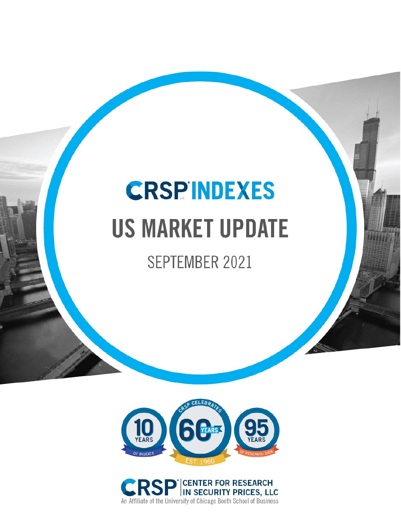# **CRSPINDEXES US MARKET UPDATE**

# SEPTEMBER 2021



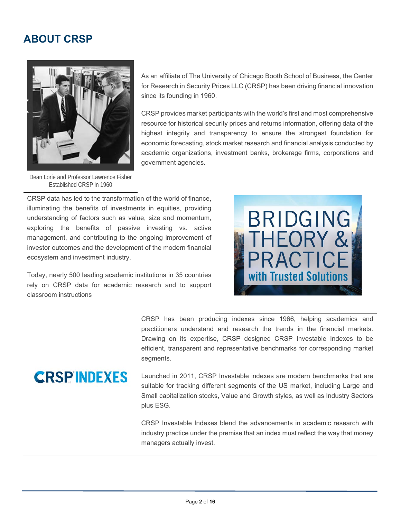#### **ABOUT CRSP**



As an affiliate of The University of Chicago Booth School of Business, the Center for Research in Security Prices LLC (CRSP) has been driving financial innovation since its founding in 1960.

CRSP provides market participants with the world's first and most comprehensive resource for historical security prices and returns information, offering data of the highest integrity and transparency to ensure the strongest foundation for economic forecasting, stock market research and financial analysis conducted by academic organizations, investment banks, brokerage firms, corporations and government agencies.

Dean Lorie and Professor Lawrence Fisher Established CRSP in 1960

CRSP data has led to the transformation of the world of finance, illuminating the benefits of investments in equities, providing understanding of factors such as value, size and momentum, exploring the benefits of passive investing vs. active management, and contributing to the ongoing improvement of investor outcomes and the development of the modern financial ecosystem and investment industry.

Today, nearly 500 leading academic institutions in 35 countries rely on CRSP data for academic research and to support classroom instructions



 CRSP has been producing indexes since 1966, helping academics and practitioners understand and research the trends in the financial markets. Drawing on its expertise, CRSP designed CRSP Investable Indexes to be efficient, transparent and representative benchmarks for corresponding market segments.

Launched in 2011, CRSP Investable indexes are modern benchmarks that are suitable for tracking different segments of the US market, including Large and Small capitalization stocks, Value and Growth styles, as well as Industry Sectors plus ESG.

CRSP Investable Indexes blend the advancements in academic research with industry practice under the premise that an index must reflect the way that money managers actually invest.

## **CRSPINDEXES**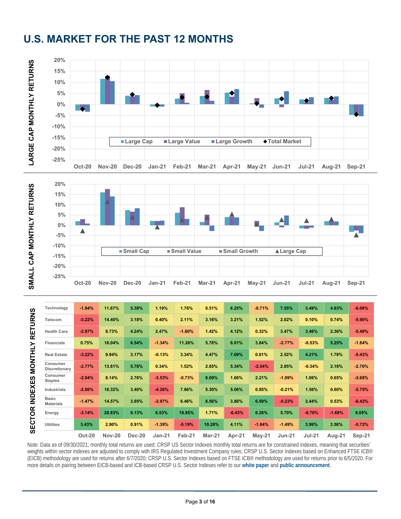

## **U.S. MARKET FOR THE PAST 12 MONTHS**



| Technology                       | $-1.94%$      | 11.67%        | 5.39%  | 1.19%    | 1.76%    | 0.51%         | 6.25%    | $-0.71%$ | 7.55%    | 3.49%    | 4.83%    | $-6.08%$ |
|----------------------------------|---------------|---------------|--------|----------|----------|---------------|----------|----------|----------|----------|----------|----------|
| Telecom                          | $-3.22%$      | 14.40%        | 3.18%  | 0.40%    | 2.11%    | 3.16%         | 3.21%    | 1.52%    | 2.02%    | 0.10%    | 0.74%    | $-5.90%$ |
| <b>Health Care</b>               | $-2.97%$      | 8.73%         | 4.24%  | 2.47%    | $-1.60%$ | 1.42%         | 4.12%    | 0.32%    | 3.47%    | 3.46%    | 2.36%    | $-5.49%$ |
| <b>Financials</b>                | 0.75%         | 16.04%        | 6.54%  | $-1.34%$ | 11.26%   | 5.78%         | 6.01%    | 3.84%    | $-2.77%$ | $-0.53%$ | 5.25%    | $-1.84%$ |
| <b>Real Estate</b>               | $-3.22%$      | 9.94%         | 3.17%  | $-0.13%$ | 3.34%    | 4.47%         | 7.69%    | 0.61%    | 2.52%    | 4.21%    | 1.78%    | $-5.43%$ |
| Consumer<br>Discretionary        | $-2.77%$      | 13.81%        | 5.78%  | 0.34%    | 1.52%    | 2.65%         | 5.34%    | $-2.54%$ | 2.85%    | $-0.34%$ | 2.18%    | $-2.70%$ |
| Consumer<br><b>Staples</b>       | $-2.94%$      | 8.14%         | 2.76%  | $-3.53%$ | $-0.73%$ | 8.69%         | 1.66%    | 2.21%    | $-1.09%$ | 1.06%    | 0.65%    | $-3.68%$ |
| Industrials                      | $-2.86%$      | 16.32%        | 3.40%  | $-4.28%$ | 7.66%    | 5.30%         | 5.06%    | 0.95%    | $-0.21%$ | 1.56%    | 0.60%    | $-5.75%$ |
| <b>Basic</b><br><b>Materials</b> | $-1.47%$      | 14.57%        | 3.95%  | $-2.97%$ | 6.46%    | 8.56%         | 3.86%    | 6.59%    | $-5.23%$ | 2.44%    | 0.53%    | $-6.42%$ |
| Energy                           | $-3.14%$      | 28.83%        | 6.13%  | 6.53%    | 18.85%   | 1.71%         | $-0.43%$ | 6.26%    | 5.70%    | $-8.76%$ | $-1.68%$ | 9.05%    |
| <b>Utilities</b>                 | 3.43%         | 2.90%         | 0.91%  | $-1.39%$ | $-5.19%$ | 10.26%        | 4.11%    | $-1.84%$ | $-1.49%$ | 3.99%    | 3.58%    | $-5.72%$ |
|                                  | <b>Oct-20</b> | <b>Nov-20</b> | Dec-20 | Jan-21   | Feb-21   | <b>Mar-21</b> | Apr-21   | $May-21$ | $Jun-21$ | $Jul-21$ | Aug-21   | $Sep-21$ |

Note: Data as of 09/30/2021; monthly total returns are used; CRSP US Sector Indexes monthly total returns are for constrained indexes, meaning that securities' weights within sector indexes are adjusted to comply with IRS Regulated Investment Company rules; CRSP U.S. Sector Indexes based on Enhanced FTSE ICB® (EICB) methodology are used for returns after 6/7/2020; CRSP U.S. Sector Indexes based on FTSE ICB® methodology are used for returns prior to 6/5/2020. For more details on pairing between EICB-based and ICB-based CRSP U.S. Sector Indexes refer to our **white paper** and **public announcement**.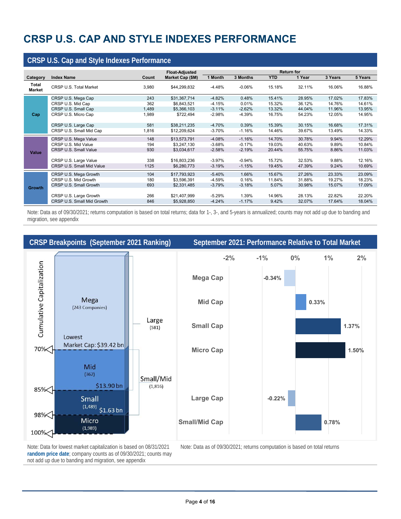## **CRSP U.S. CAP AND STYLE INDEXES PERFORMANCE**

| <b>CRSP U.S. Cap and Style Indexes Performance</b> |                            |       |                       |                   |           |            |        |         |         |
|----------------------------------------------------|----------------------------|-------|-----------------------|-------------------|-----------|------------|--------|---------|---------|
|                                                    |                            |       | <b>Float-Adjusted</b> | <b>Return for</b> |           |            |        |         |         |
| Category                                           | <b>Index Name</b>          | Count | Market Cap (\$M)      | 1 Month           | 3 Months  | <b>YTD</b> | 1 Year | 3 Years | 5 Years |
| Total<br>Market                                    | CRSP U.S. Total Market     | 3,980 | \$44,299,832          | -4.48%            | $-0.06\%$ | 15.18%     | 32.11% | 16.06%  | 16.88%  |
|                                                    | CRSP U.S. Mega Cap         | 243   | \$31,367,714          | $-4.82%$          | 0.48%     | 15.41%     | 28.95% | 17.02%  | 17.83%  |
|                                                    | CRSP U.S. Mid Cap          | 362   | \$6,843,521           | $-4.15%$          | 0.01%     | 15.32%     | 36.12% | 14.76%  | 14.61%  |
|                                                    | CRSP U.S. Small Cap        | 1,489 | \$5,366,103           | $-3.11%$          | $-2.62%$  | 13.32%     | 44.04% | 11.96%  | 13.95%  |
| Cap                                                | CRSP U.S. Micro Cap        | 1,989 | \$722,494             | $-2.98%$          | $-4.39%$  | 16.75%     | 54.23% | 12.05%  | 14.95%  |
|                                                    | CRSP U.S. Large Cap        | 581   | \$38,211,235          | $-4.70%$          | 0.39%     | 15.39%     | 30.15% | 16.68%  | 17.31%  |
|                                                    | CRSP U.S. Small Mid Cap    | 1,816 | \$12,209,624          | $-3.70%$          | $-1.16%$  | 14.46%     | 39.67% | 13.49%  | 14.33%  |
|                                                    | CRSP U.S. Mega Value       | 148   | \$13,573,791          | $-4.08%$          | $-1.16%$  | 14.70%     | 30.78% | 9.94%   | 12.29%  |
|                                                    | CRSP U.S. Mid Value        | 194   | \$3,247,130           | $-3.68%$          | $-0.17%$  | 19.03%     | 40.63% | 9.89%   | 10.84%  |
| Value                                              | CRSP U.S. Small Value      | 930   | \$3,034,617           | $-2.58%$          | $-2.19%$  | 20.44%     | 55.75% | 8.86%   | 11.03%  |
|                                                    | CRSP U.S. Large Value      | 338   | \$16,803,236          | -3.97%            | $-0.94%$  | 15.72%     | 32.53% | 9.88%   | 12.16%  |
|                                                    | CRSP U.S. Small Mid Value  | 1125  | \$6,280,773           | $-3.19%$          | $-1.15%$  | 19.45%     | 47.39% | 9.24%   | 10.69%  |
|                                                    |                            |       |                       |                   |           |            |        |         |         |
|                                                    | CRSP U.S. Mega Growth      | 104   | \$17,793,923          | $-5.40%$          | 1.66%     | 15.67%     | 27.26% | 23.33%  | 23.09%  |
|                                                    | CRSP U.S. Mid Growth       | 180   | \$3,596,391           | $-4.59%$          | 0.16%     | 11.84%     | 31.88% | 19.27%  | 18.23%  |
| <b>Growth</b>                                      | CRSP U.S. Small Growth     | 693   | \$2,331,485           | $-3.79%$          | $-3.18%$  | 5.07%      | 30.98% | 15.07%  | 17.09%  |
|                                                    |                            |       |                       |                   |           |            |        |         |         |
|                                                    | CRSP U.S. Large Growth     | 266   | \$21,407,999          | $-5.29%$          | 1.39%     | 14.96%     | 28.13% | 22.82%  | 22.20%  |
|                                                    | CRSP U.S. Small Mid Growth | 846   | \$5,928,850           | $-4.24%$          | $-1.17%$  | 9.42%      | 32.07% | 17.64%  | 18.04%  |

Note: Data as of 09/30/2021; returns computation is based on total returns; data for 1-, 3-, and 5-years is annualized; counts may not add up due to banding and migration, see appendix



Note: Data for lowest market capitalization is based on 08/31/2021 **random price date**; company counts as of 09/30/2021; counts may not add up due to banding and migration, see appendix

<u> 1989 - Johann Barn, amerikansk politiker (d. 1989)</u>

Note: Data as of 09/30/2021; returns computation is based on total returns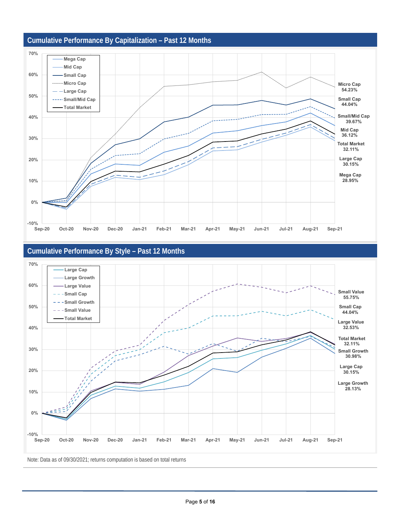

#### **Cumulative Performance By Style – Past 12 Months**



Note: Data as of 09/30/2021; returns computation is based on total returns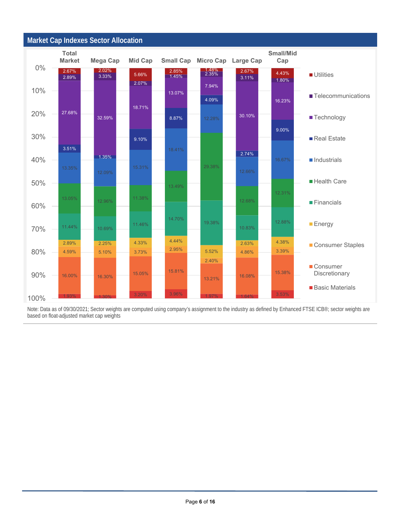

Note: Data as of 09/30/2021; Sector weights are computed using company's assignment to the industry as defined by Enhanced FTSE ICB®; sector weights are based on float-adjusted market cap weights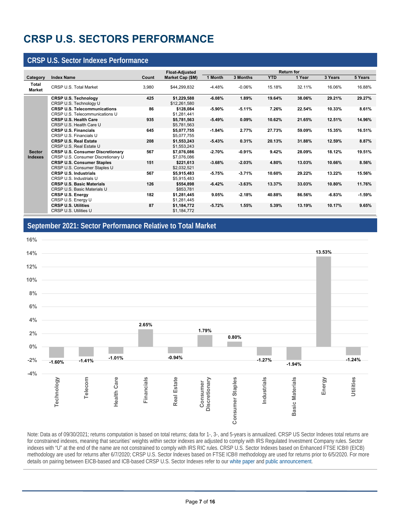## **CRSP U.S. SECTORS PERFORMANCE**

#### **CRSP U.S. Sector Indexes Performance**

<u> 1989 - Johann Barn, amerikansk politiker (d. 1989)</u>

|                                 |                                                                               |       | <b>Float-Adjusted</b>       |          |          |            | <b>Return for</b> |          |          |
|---------------------------------|-------------------------------------------------------------------------------|-------|-----------------------------|----------|----------|------------|-------------------|----------|----------|
| Category                        | <b>Index Name</b>                                                             | Count | Market Cap (\$M)            | 1 Month  | 3 Months | <b>YTD</b> | 1 Year            | 3 Years  | 5 Years  |
| Total<br><b>Market</b>          | CRSP U.S. Total Market                                                        | 3,980 | \$44,299,832                | $-4.48%$ | $-0.06%$ | 15.18%     | 32.11%            | 16.06%   | 16.88%   |
|                                 | <b>CRSP U.S. Technology</b><br>CRSP U.S. Technology U                         | 425   | \$1,229,588<br>\$12,261,580 | $-6.08%$ | 1.89%    | 19.64%     | 38.06%            | 29.21%   | 29.27%   |
|                                 | <b>CRSP U.S. Telecommunications</b><br>CRSP U.S. Telecommunications U         | 86    | \$128,084<br>\$1,281,441    | $-5.90%$ | $-5.11%$ | 7.26%      | 22.54%            | 10.33%   | 8.61%    |
|                                 | <b>CRSP U.S. Health Care</b><br>CRSP U.S. Health Care U                       | 935   | \$5,781,563<br>\$5,781,563  | $-5.49%$ | 0.09%    | 10.62%     | 21.65%            | 12.51%   | 14.96%   |
|                                 | <b>CRSP U.S. Financials</b><br>CRSP U.S. Financials U                         | 645   | \$5,077,755<br>\$5,077,755  | $-1.84%$ | 2.77%    | 27.73%     | 59.09%            | 15.35%   | 16.51%   |
|                                 | <b>CRSP U.S. Real Estate</b><br>CRSP U.S. Real Estate U                       | 208   | \$1,553,243<br>\$1,553,243  | $-5.43%$ | 0.31%    | 20.13%     | 31.88%            | 12.59%   | 8.87%    |
| <b>Sector</b><br><b>Indexes</b> | <b>CRSP U.S. Consumer Discretionary</b><br>CRSP U.S. Consumer Discretionary U | 567   | \$7,076,086<br>\$7,076,086  | $-2.70%$ | $-0.91%$ | 9.42%      | 28.09%            | 18.12%   | 19.51%   |
|                                 | <b>CRSP U.S. Consumer Staples</b><br>CRSP U.S. Consumer Staples U             | 151   | \$221,613<br>\$2,032,521    | $-3.68%$ | $-2.03%$ | 4.80%      | 13.03%            | 10.66%   | 8.56%    |
|                                 | <b>CRSP U.S. Industrials</b><br>CRSP U.S. Industrials U                       | 567   | \$5,915,483<br>\$5,915,483  | $-5.75%$ | $-3.71%$ | 10.60%     | 29.22%            | 13.22%   | 15.56%   |
|                                 | <b>CRSP U.S. Basic Materials</b><br>CRSP U.S. Basic Materials U               | 126   | \$554,898<br>\$853,781      | $-6.42%$ | $-3.63%$ | 13.37%     | 33.03%            | 10.80%   | 11.76%   |
|                                 | <b>CRSP U.S. Energy</b><br>CRSP U.S. Energy U                                 | 182   | \$1,281,445<br>\$1,281,445  | 9.05%    | $-2.18%$ | 40.88%     | 86.56%            | $-6.83%$ | $-1.59%$ |
|                                 | <b>CRSP U.S. Utilities</b><br>CRSP U.S. Utilities U                           | 87    | \$1,184,772<br>\$1,184,772  | $-5.72%$ | 1.55%    | 5.39%      | 13.19%            | 10.17%   | 9.65%    |

#### **September 2021: Sector Performance Relative to Total Market**



Note: Data as of 09/30/2021; returns computation is based on total returns; data for 1-, 3-, and 5-years is annualized. CRSP US Sector Indexes total returns are for constrained indexes, meaning that securities' weights within sector indexes are adjusted to comply with IRS Regulated Investment Company rules. Sector indexes with "U" at the end of the name are not constrained to comply with IRS RIC rules. CRSP U.S. Sector Indexes based on Enhanced FTSE ICB® (EICB) methodology are used for returns after 6/7/2020; CRSP U.S. Sector Indexes based on FTSE ICB® methodology are used for returns prior to 6/5/2020. For more details on pairing between EICB-based and ICB-based CRSP U.S. Sector Indexes refer to our white paper and public announcement.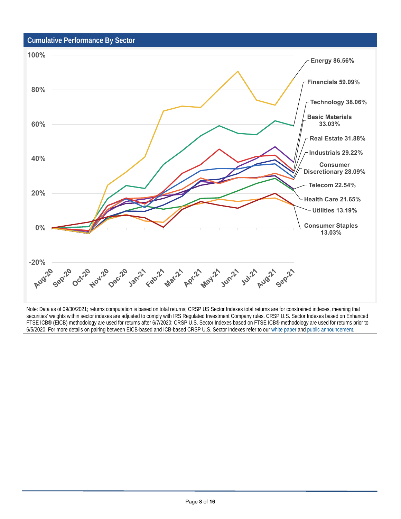#### **Cumulative Performance By Sector**

<u> 1980 - Johann Barn, amerikansk politiker (d. 1980)</u>



Note: Data as of 09/30/2021; returns computation is based on total returns; CRSP US Sector Indexes total returns are for constrained indexes, meaning that securities' weights within sector indexes are adjusted to comply with IRS Regulated Investment Company rules. CRSP U.S. Sector Indexes based on Enhanced FTSE ICB® (EICB) methodology are used for returns after 6/7/2020; CRSP U.S. Sector Indexes based on FTSE ICB® methodology are used for returns prior to 6/5/2020. For more details on pairing between EICB-based and ICB-based CRSP U.S. Sector Indexes refer to our white paper and public announcement.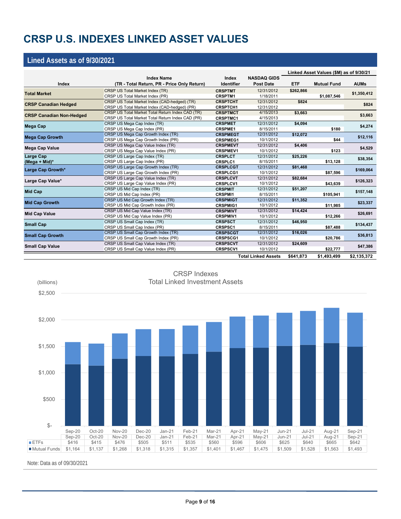## **CRSP U.S. INDEXES LINKED ASSET VALUES**

#### **Lined Assets as of 9/30/2021**

|                                                                                                                                 |                                                  |                   |                            | Linked Asset Values (\$M) as of 9/30/21 |                                                                                                                                                                          |             |  |
|---------------------------------------------------------------------------------------------------------------------------------|--------------------------------------------------|-------------------|----------------------------|-----------------------------------------|--------------------------------------------------------------------------------------------------------------------------------------------------------------------------|-------------|--|
|                                                                                                                                 | <b>Index Name</b>                                | Index             | <b>NASDAQ GIDS</b>         |                                         |                                                                                                                                                                          |             |  |
| Index                                                                                                                           | (TR - Total Return, PR - Price Only Return)      | <b>Identifier</b> | <b>Post Date</b>           | <b>ETF</b>                              |                                                                                                                                                                          | <b>AUMs</b> |  |
| <b>Total Market</b>                                                                                                             | CRSP US Total Market Index (TR)                  | <b>CRSPTMT</b>    | 12/31/2012                 | \$262,866                               |                                                                                                                                                                          | \$1,350,412 |  |
|                                                                                                                                 | CRSP US Total Market Index (PR)                  | <b>CRSPTM1</b>    | 1/18/2011                  |                                         | \$1,087,546                                                                                                                                                              |             |  |
| <b>CRSP Canadian Hedged</b>                                                                                                     | CRSP US Total Market Index (CAD-hedged) (TR)     | <b>CRSPTCHT</b>   | 12/31/2012                 | \$824                                   |                                                                                                                                                                          |             |  |
|                                                                                                                                 | CRSP US Total Market Index (CAD-hedged) (PR)     | <b>CRSPTCH1</b>   | 12/31/2012                 |                                         |                                                                                                                                                                          |             |  |
| <b>CRSP Canadian Non-Hedged</b>                                                                                                 | CRSP US Total Market Total Return Index CAD (TR) | <b>CRSPTMCT</b>   | 4/15/2013                  | \$3,663                                 |                                                                                                                                                                          |             |  |
|                                                                                                                                 | CRSP US Total Market Total Return Index CAD (PR) | <b>CRSPTMC1</b>   | 4/15/2013                  |                                         |                                                                                                                                                                          |             |  |
| <b>Mega Cap</b>                                                                                                                 | CRSP US Mega Cap Index (TR)                      | <b>CRSPMET</b>    | 12/31/2012                 | \$4,094                                 | <b>Mutual Fund</b><br>\$180<br>\$44<br>\$123<br>\$13,128<br>\$87,596<br>\$43,639<br>\$105,941<br>\$11,985<br>\$12,266<br>\$87,488<br>\$20,786<br>\$22,777<br>\$1,493,499 |             |  |
|                                                                                                                                 | CRSP US Mega Cap Index (PR)                      | <b>CRSPME1</b>    | 8/15/2011                  |                                         |                                                                                                                                                                          |             |  |
| <b>Mega Cap Growth</b>                                                                                                          | CRSP US Mega Cap Growth Index (TR)               | <b>CRSPMEGT</b>   | 12/31/2012                 | \$12,072                                |                                                                                                                                                                          |             |  |
|                                                                                                                                 | CRSP US Mega Cap Growth Index (PR)               | <b>CRSPMEG1</b>   | 10/1/2012                  |                                         |                                                                                                                                                                          |             |  |
| Mega Cap Value                                                                                                                  | CRSP US Mega Cap Value Index (TR)                | <b>CRSPMEVT</b>   | 12/31/2012                 | \$4,406                                 |                                                                                                                                                                          |             |  |
|                                                                                                                                 | CRSP US Mega Cap Value Index (PR)                | <b>CRSPMEV1</b>   | 10/1/2012                  |                                         |                                                                                                                                                                          |             |  |
| <b>Large Cap</b>                                                                                                                | CRSP US Large Cap Index (TR)                     | <b>CRSPLCT</b>    | 12/31/2012                 | \$25,226                                |                                                                                                                                                                          |             |  |
| (Mega + Mid)*                                                                                                                   | CRSP US Large Cap Index (PR)                     | <b>CRSPLC1</b>    | 8/15/2011                  |                                         |                                                                                                                                                                          |             |  |
|                                                                                                                                 |                                                  | <b>CRSPLCGT</b>   | 12/31/2012                 | \$81,468                                |                                                                                                                                                                          |             |  |
| CRSP US Large Cap Growth Index (TR)<br>Large Cap Growth*<br>CRSP US Large Cap Growth Index (PR)<br><b>CRSPLCG1</b><br>10/1/2012 |                                                  |                   |                            |                                         |                                                                                                                                                                          |             |  |
| Large Cap Value*                                                                                                                | CRSP US Large Cap Value Index (TR)               | <b>CRSPLCVT</b>   | 12/31/2012                 | \$82,684                                | \$824<br>\$3,663<br>\$4,274<br>\$12,116<br>\$4,529<br>\$38,354<br>\$169,064<br>\$126,323<br>\$157,148<br>\$23,337<br>\$26,691<br>\$134,437<br>\$36,813                   |             |  |
|                                                                                                                                 | CRSP US Large Cap Value Index (PR)               | <b>CRSPLCV1</b>   | 10/1/2012                  |                                         |                                                                                                                                                                          |             |  |
| <b>Mid Cap</b>                                                                                                                  | CRSP US Mid Cap Index (TR)                       | <b>CRSPMIT</b>    | 12/31/2012                 | \$51,207                                |                                                                                                                                                                          |             |  |
|                                                                                                                                 | CRSP US Mid Cap Index (PR)                       | <b>CRSPMI1</b>    | 8/15/2011                  |                                         |                                                                                                                                                                          |             |  |
| <b>Mid Cap Growth</b>                                                                                                           | CRSP US Mid Cap Growth Index (TR)                | <b>CRSPMIGT</b>   | 12/31/2012                 | \$11,352                                |                                                                                                                                                                          |             |  |
|                                                                                                                                 | CRSP US Mid Cap Growth Index (PR)                | <b>CRSPMIG1</b>   | 10/1/2012                  |                                         |                                                                                                                                                                          |             |  |
| <b>Mid Cap Value</b>                                                                                                            | CRSP US Mid Cap Value Index (TR)                 | <b>CRSPMIVT</b>   | 12/31/2012                 | \$14,424                                |                                                                                                                                                                          |             |  |
|                                                                                                                                 | CRSP US Mid Cap Value Index (PR)                 | <b>CRSPMIV1</b>   | 10/1/2012                  |                                         |                                                                                                                                                                          | \$47,386    |  |
| <b>Small Cap</b>                                                                                                                | CRSP US Small Cap Index (TR)                     | <b>CRSPSCT</b>    | 12/31/2012                 | \$46,950                                |                                                                                                                                                                          |             |  |
|                                                                                                                                 | CRSP US Small Cap Index (PR)                     | <b>CRSPSC1</b>    | 8/15/2011                  |                                         |                                                                                                                                                                          |             |  |
| <b>Small Cap Growth</b>                                                                                                         | CRSP US Small Cap Growth Index (TR)              | <b>CRSPSCGT</b>   | 12/31/2012                 | \$16,026                                |                                                                                                                                                                          |             |  |
|                                                                                                                                 | CRSP US Small Cap Growth Index (PR)              | <b>CRSPSCG1</b>   | 10/1/2012                  |                                         |                                                                                                                                                                          |             |  |
| <b>Small Cap Value</b>                                                                                                          | CRSP US Small Cap Value Index (TR)               | <b>CRSPSCVT</b>   | 12/31/2012                 | \$24,609                                |                                                                                                                                                                          |             |  |
|                                                                                                                                 | CRSP US Small Cap Value Index (PR)               | <b>CRSPSCV1</b>   | 10/1/2012                  |                                         |                                                                                                                                                                          |             |  |
|                                                                                                                                 |                                                  |                   | <b>Total Linked Assets</b> | \$641.873                               |                                                                                                                                                                          | \$2,135,372 |  |



CRSP Indexes Total Linked Investment Assets

Note: Data as of 09/30/2021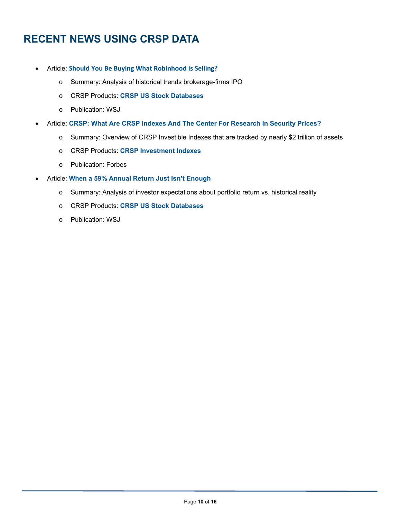## **RECENT NEWS USING CRSP DATA**

- Article: **Should You Be Buying What Robinhood Is Selling?**
	- o Summary: Analysis of historical trends brokerage-firms IPO
	- o CRSP Products: **CRSP US Stock Databases**
	- o Publication: WSJ
- Article: **CRSP: What Are CRSP Indexes And The Center For Research In Security Prices?**
	- o Summary: Overview of CRSP Investible Indexes that are tracked by nearly \$2 trillion of assets
	- o CRSP Products: **CRSP Investment Indexes**
	- o Publication: Forbes
- Article: **When a 59% Annual Return Just Isn't Enough**
	- o Summary: Analysis of investor expectations about portfolio return vs. historical reality
	- o CRSP Products: **CRSP US Stock Databases**
	- o Publication: WSJ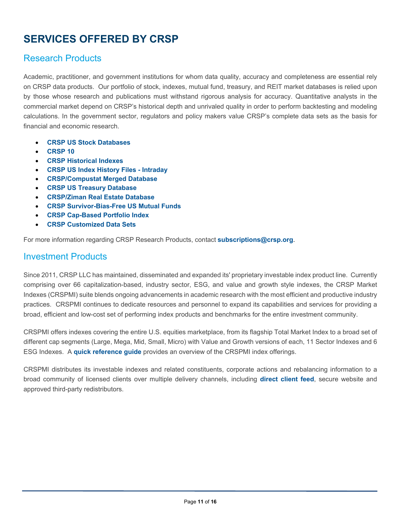## **SERVICES OFFERED BY CRSP**

#### Research Products

Academic, practitioner, and government institutions for whom data quality, accuracy and completeness are essential rely on CRSP data products. Our portfolio of stock, indexes, mutual fund, treasury, and REIT market databases is relied upon by those whose research and publications must withstand rigorous analysis for accuracy. Quantitative analysts in the commercial market depend on CRSP's historical depth and unrivaled quality in order to perform backtesting and modeling calculations. In the government sector, regulators and policy makers value CRSP's complete data sets as the basis for financial and economic research.

- **CRSP US Stock Databases**
- **CRSP 10**
- **CRSP Historical Indexes**
- **CRSP US Index History Files Intraday**
- **CRSP/Compustat Merged Database**
- **CRSP US Treasury Database**
- **CRSP/Ziman Real Estate Database**
- **CRSP Survivor-Bias-Free US Mutual Funds**
- **CRSP Cap-Based Portfolio Index**
- **CRSP Customized Data Sets**

<u> 1980 - Johann Barn, amerikansk politiker (d. 1980)</u>

For more information regarding CRSP Research Products, contact **subscriptions@crsp.org**.

#### Investment Products

Since 2011, CRSP LLC has maintained, disseminated and expanded its' proprietary investable index product line. Currently comprising over 66 capitalization-based, industry sector, ESG, and value and growth style indexes, the CRSP Market Indexes (CRSPMI) suite blends ongoing advancements in academic research with the most efficient and productive industry practices. CRSPMI continues to dedicate resources and personnel to expand its capabilities and services for providing a broad, efficient and low-cost set of performing index products and benchmarks for the entire investment community.

CRSPMI offers indexes covering the entire U.S. equities marketplace, from its flagship Total Market Index to a broad set of different cap segments (Large, Mega, Mid, Small, Micro) with Value and Growth versions of each, 11 Sector Indexes and 6 ESG Indexes. A **quick reference guide** provides an overview of the CRSPMI index offerings.

CRSPMI distributes its investable indexes and related constituents, corporate actions and rebalancing information to a broad community of licensed clients over multiple delivery channels, including **direct client feed**, secure website and approved third-party redistributors.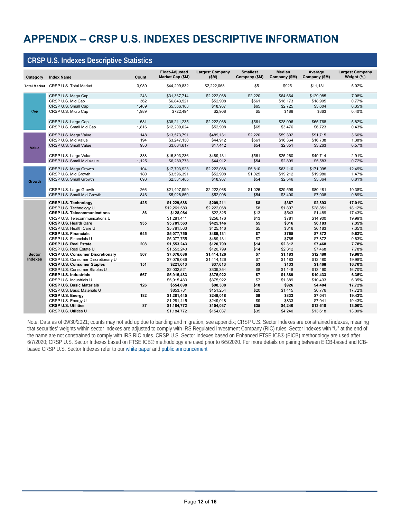## **APPENDIX – CRSP U.S. INDEXES DESCRIPTIVE INFORMATION**

#### **CRSP U.S. Indexes Descriptive Statistics Category Index Name Counting Counting Counting Counting Counting Counting Counting Counting Counting Counting Counting Counting Counting Counting Counting Counting Counting Counting Counting Counting Counting Counting Cou Float-Adjusted Market Cap (\$M) Largest Company (\$M) Smallest Company (\$M) Median Company (\$M) Average Company (\$M) Largest Company Weight (%) Total Market** CRSP U.S. Total Market 3,980 \$44,299,832 \$2,222,068 \$5 \$925 \$11,131 5.02% CRSP U.S. Mega Cap 243 \$31,367,714 \$2,222,068 \$2,220 \$64,664 \$129,085 7.08% CRSP U.S. Mid Cap 362 \$6,843,521 \$52,908 \$561 \$18,173 \$18,905 0.77% CRSP U.S. Small Cap 1,489 \$5,366,103 \$18,937 \$65 \$2,725 \$3,604 0.35% cRSP U.S. Micro Cap 1,989 \$722,494 \$2,908 \$5 \$188 \$363 0.40% CRSP U.S. Large Cap 581 \$38,211,235 \$2,222,068 \$561 \$28,096 \$65,768 5.82% CRSP U.S. Small Mid Cap 1,816 \$12,209,624 \$52,908 \$65 \$3,476 \$6,723 0.43% CRSP U.S. Mega Value 148 \$13,573,791 \$489,131 \$2,220 \$59,302 \$91,715 3.60% CRSP U.S. Mid Value 194 \$3,247,130 \$44,912 \$561 \$16,364 \$16,738 1.38% CRSP U.S. Small Value 830 4 53,034,617 517,442 554 \$2,351 \$3,263 0.57% crsP U.S. Large Value 2.91% 338 \$16,803,236 \$489,131 \$561 \$25,260 \$49,714 2.91%<br>CRSP U.S. Small Mid Value 2.91% 3.1,125 \$6,280,773 \$44,912 \$54 \$2,899 \$5,583 0.72% CRSP U.S. Small Mid Value CRSP U.S. Mega Growth 104 \$17,793,923 \$2,222,068 \$5,810 \$63,110 \$171,095 12.49% CRSP U.S. Mid Growth 180 \$3,596,391 \$52,908 \$1,025 \$19,212 \$19,980 1.47% CRSP U.S. Small Growth 693 \$2,331,485 \$18,937 \$54 \$2,546 \$3,364 0.81% CRSP U.S. Large Growth 266 \$21,407,999 \$2,222,068 \$1,025 \$29,599 \$80,481 10.38% CRSP U.S. Small Mid Growth 846 \$5,928,850 \$52,908 \$54 \$3,400 \$7,008 \$50,89% **CRSP U.S. Technology 425 \$1,229,588 \$209,211 \$8 \$367 \$2,893 17.01%** cRSP U.S. Technology U<br> **CRSP U.S. Telecommunications** 18.12% **5126,084** \$22,325 \$1,897 \$28,851 \$1,489 \$1,43% \$1,439<br> **CRSP U.S. Telecommunications 36 \$128,084** \$22,325 \$13 \$543 \$1,489 \$1,43% **CRSP U.S. Telecommunications 66 \$128,084** \$22,325 \$13 \$543 \$1,489 17.43%<br>CRSP U.S. Telecommunications U \$1,281,441 \$256,176 \$13 \$781 \$14,900 19.99% CRSP U.S. Telecommunications U \$1,281,441 \$256,176 \$13 \$781 \$14,900 19.99% **CRSP U.S. Health Care** CRSP U.S. Health Care U 55,781, 2008 55,781,563 \$425,146 \$5 \$316 \$6,183 \$6,183 \$55 \$6,183 \$55 \$6,183 \$5 \$5 \$5<br>CRSP U.S. Financials \$5,033 \$5,077,755 \$489,131 \$7 \$765 \$7.872 \$63% **CRSP U.S. Financials 645 \$5,077,755 \$489,131 \$7 \$765 \$7,872 9.63%** CRSP U.S. Financials U \$5,077,755 \$489,131 \$7 \$7,65 \$7,872 9.63%<br>CRSP U.S. Real Estate 208 \$1,553,243 \$120,799 \$14 \$2,312 \$7,468 7.78% **CRSP U.S. Real Estate 208 \$1,553,243 \$120,799 \$14 \$2,312 \$7,468 7.78%** cRSP U.S. Real Estate U<br>
CRSP U.S. Consumer Discretionary \$1,553,243 \$120,799 \$2,312 \$7,468 7.78%<br>CRSP U.S. Consumer Discretionary **CRSP U.S. Consumer Discretionary and the State of the State of State of State of the State of the State of the St<br>CRSP U.S. Consumer Discretionary U and the State of State of State of State of State of the State of the St** CRSP U.S. Consumer Discretionary U **67,076,086** \$1,414,126 \$1,183 \$12,480 \$19.98%<br>CRSP U.S. Consumer Staples 151 \$221,613 \$37,013 \$37 \$133 \$1468 \$16.70% **CRSP U.S. Consumer Staples 16.70% 151 \$221,613 \$37,013 \$37,013 \$3**<br>CRSP U.S. Consumer Staples U \$2,032,521 \$339,354 \$8 \$1,148 \$13,460 16.70% cRSP U.S. Consumer Staples U **62,032,521** \$339,354 \$8 \$1,148 \$13,460 \$16.70%<br>CRSP U.S. Industrials \$58 \$67 \$5,915,483 \$375,922 \$7 \$1,389 \$10,433 \$35% **CRSP U.S. Industrials 567 \$5,915,483 \$375,922 \$7 \$1,389 \$10,433 6.35%** CRSP U.S. Industrials U \$5,915,483 \$375,922 \$7 \$1,389 \$10,433 6.35% **CRSP U.S. Basic Materials** cRSP U.S. Basic Materials U 520 \$853,781 \$151,254 \$20 \$1,415 \$6,776 \$1,72% \$151,254 \$20 \$1,415 \$6,776 \$6,776 \$<br>CRSP U.S. Energy \$1,984 \$1,281,445 \$249,018 \$9 \$833 \$7,041 \$19.43% **CRSP U.S. Energy** CRSP U.S. Energy U \$1,281,445 \$249,018 \$9 \$833 \$7,041 19.43%<br>CRSP U.S. Utilities 87 \$1.184.772 \$154.037 \$35 \$4.240 \$13.618 13.00% **CRSP U.S. Utilities 87 \$1,184,772 \$154,037 \$35 \$4,240 \$13,618 13.00%** CRSP U.S. Utilities U **81,000 a.c. 13.00%** \$1,184,772 \$154,037 \$35 \$4,240 \$13,618 13.00% **Cap Value Growth Sector Indexes**

Note: Data as of 09/30/2021; counts may not add up due to banding and migration, see appendix; CRSP U.S. Sector Indexes are constrained indexes, meaning that securities' weights within sector indexes are adjusted to comply with IRS Regulated Investment Company (RIC) rules. Sector indexes with "U" at the end of the name are not constrained to comply with IRS RIC rules. CRSP U.S. Sector Indexes based on Enhanced FTSE ICB® (EICB) methodology are used after 6/7/2020; CRSP U.S. Sector Indexes based on FTSE ICB® methodology are used prior to 6/5/2020. For more details on pairing between EICB-based and ICBbased CRSP U.S. Sector Indexes refer to our white paper and public announcement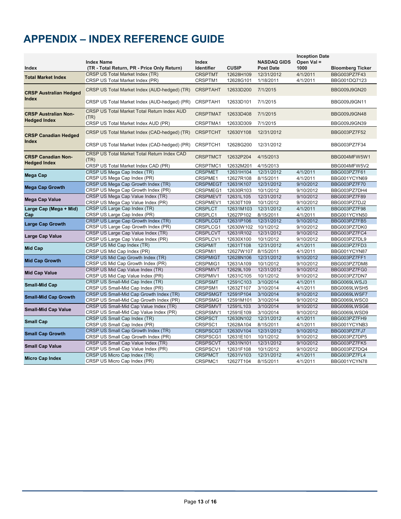## **APPENDIX – INDEX REFERENCE GUIDE**

|                                                  |                                                                  |                             |                        |                                        | <b>Inception Date</b>  |                              |
|--------------------------------------------------|------------------------------------------------------------------|-----------------------------|------------------------|----------------------------------------|------------------------|------------------------------|
| Index                                            | <b>Index Name</b><br>(TR - Total Return, PR - Price Only Return) | Index<br><b>Identifier</b>  | <b>CUSIP</b>           | <b>NASDAQ GIDS</b><br><b>Post Date</b> | Open Val =<br>1000     | <b>Bloomberg Ticker</b>      |
|                                                  | <b>CRSP US Total Market Index (TR)</b>                           | <b>CRSPTMT</b>              | 12628H109              | 12/31/2012                             | 4/1/2011               | BBG003PZ7F43                 |
| <b>Total Market Index</b>                        | CRSP US Total Market Index (PR)                                  | CRSPTM1                     | 12628G101              | 1/18/2011                              | 4/1/2011               | BBG001DQ7123                 |
|                                                  |                                                                  |                             |                        |                                        |                        |                              |
| <b>CRSP Australian Hedged</b>                    | CRSP US Total Market Index (AUD-hedged) (TR)                     | <b>CRSPTAHT</b>             | 12633D200              | 7/1/2015                               |                        | BBG009J9GN20                 |
| <b>Index</b>                                     | CRSP US Total Market Index (AUD-hedged) (PR)                     | CRSPTAH1                    | 12633D101              | 7/1/2015                               |                        | BBG009J9GN11                 |
| <b>CRSP Australian Non-</b>                      | CRSP US Total Market Total Return Index AUD<br>(TR)              | <b>CRSPTMAT</b>             | 12633D408              | 7/1/2015                               |                        | BBG009J9GN48                 |
| <b>Hedged Index</b>                              | CRSP US Total Market Index AUD (PR)                              | CRSPTMA1                    | 12633D309              | 7/1/2015                               |                        | BBG009J9GN39                 |
| <b>CRSP Canadian Hedged</b>                      | CRSP US Total Market Index (CAD-hedged) (TR)                     | <b>CRSPTCHT</b>             | 12630Y108              | 12/31/2012                             |                        | BBG003PZ7F52                 |
| <b>Index</b>                                     | CRSP US Total Market Index (CAD-hedged) (PR)                     | CRSPTCH1                    | 12628G200              | 12/31/2012                             |                        | BBG003PZ7F34                 |
| <b>CRSP Canadian Non-</b><br><b>Hedged Index</b> | CRSP US Total Market Total Return Index CAD<br>(TR)              | <b>CRSPTMCT</b>             | 12632P204              | 4/15/2013                              |                        | BBG004MFW5W1                 |
|                                                  | CRSP US Total Market Index CAD (PR)                              | CRSPTMC1                    | 12632M201              | 4/15/2013                              |                        | BBG004MFW5V2                 |
| <b>Mega Cap</b>                                  | CRSP US Mega Cap Index (TR)                                      | <b>CRSPMET</b>              | 12631H104              | 12/31/2012                             | 4/1/2011               | BBG003PZ7F61                 |
|                                                  | CRSP US Mega Cap Index (PR)                                      | CRSPME1                     | 12627R108              | 8/15/2011                              | 4/1/2011               | BBG001YCYN69                 |
| <b>Mega Cap Growth</b>                           | CRSP US Mega Cap Growth Index (TR)                               | <b>CRSPMEGT</b>             | 12631K107              | 12/31/2012                             | 9/10/2012              | BBG003PZ7F70                 |
|                                                  | CRSP US Mega Cap Growth Index (PR)                               | CRSPMEG1                    | 12630R103              | 10/1/2012                              | 9/10/2012              | BBG003PZ7DH4                 |
| Mega Cap Value                                   | CRSP US Mega Cap Value Index (TR)                                | <b>CRSPMEVT</b>             | 12631L105              | 12/31/2012                             | 9/10/2012              | BBG003PZ7F89                 |
|                                                  | CRSP US Mega Cap Value Index (PR)                                | CRSPMEV1                    | 12630T109              | 10/1/2012                              | 9/10/2012              | BBG003PZ7DJ2                 |
| Large Cap (Mega + Mid)                           | CRSP US Large Cap Index (TR)                                     | <b>CRSPLCT</b>              | 12631M103              | 12/31/2012                             | 4/1/2011               | BBG003PZ7F98                 |
| Cap                                              | CRSP US Large Cap Index (PR)                                     | CRSPLC1                     | 12627P102              | 8/15/2011                              | 4/1/2011               | BBG001YCYN50                 |
| <b>Large Cap Growth</b>                          | CRSP US Large Cap Growth Index (TR)                              | <b>CRSPLCGT</b>             | 12631P106              | 12/31/2012                             | 9/10/2012              | BBG003PZ7FB5                 |
|                                                  | CRSP US Large Cap Growth Index (PR)                              | CRSPLCG1                    | 12630W102              | 10/1/2012                              | 9/10/2012              | BBG003PZ7DK0                 |
| Large Cap Value                                  | CRSP US Large Cap Value Index (TR)                               | <b>CRSPLCVT</b>             | 12631R102              | 12/31/2012                             | 9/10/2012              | BBG003PZ7FC4                 |
|                                                  | CRSP US Large Cap Value Index (PR)<br>CRSP US Mid Cap Index (TR) | CRSPLCV1                    | 12630X100              | 10/1/2012                              | 9/10/2012              | BBG003PZ7DL9                 |
| Mid Cap                                          |                                                                  | <b>CRSPMIT</b>              | 12631T108              | 12/31/2012                             | 4/1/2011               | BBG003PZ7FD3                 |
|                                                  | CRSP US Mid Cap Index (PR)<br>CRSP US Mid Cap Growth Index (TR)  | CRSPMI1<br><b>CRSPMIGT</b>  | 12627W107<br>12628N106 | 8/15/2011<br>12/31/2012                | 4/1/2011<br>9/10/2012  | BBG001YCYN87<br>BBG003PZ7FF1 |
| <b>Mid Cap Growth</b>                            | CRSP US Mid Cap Growth Index (PR)                                |                             |                        |                                        |                        |                              |
|                                                  | CRSP US Mid Cap Value Index (TR)                                 | CRSPMIG1<br><b>CRSPMIVT</b> | 12631A109<br>12629L109 | 10/1/2012<br>12/31/2012                | 9/10/2012<br>9/10/2012 | BBG003PZ7DM8<br>BBG003PZ7FG0 |
| <b>Mid Cap Value</b>                             | CRSP US Mid Cap Value Index (PR)                                 | CRSPMIV1                    | 12631C105              | 10/1/2012                              | 9/10/2012              | BBG003PZ7DN7                 |
|                                                  | CRSP US Small-Mid Cap Index (TR)                                 | <b>CRSPSMT</b>              | 12591C103              | 3/10/2014                              | 4/1/2011               | BBG0069LWSJ3                 |
| <b>Small-Mid Cap</b>                             | CRSP US Small-Mid Cap Index (PR)                                 | CRSPSM1                     | 12632T107              | 3/10/2014                              | 4/1/2011               | BBG0069LWSH5                 |
|                                                  | CRSP US Small-Mid Cap Growth Index (TR)                          | <b>CRSPSMGT</b>             | 12591P104              | 3/10/2014                              | 9/10/2012              | BBG0069LWSF7                 |
| <b>Small-Mid Cap Growth</b>                      | CRSP US Small-Mid Cap Growth Index (PR)                          | CRSPSMG1                    | 12591M101              | 3/10/2014                              | 9/10/2012              | BBG0069LWSC0                 |
|                                                  | CRSP US Small-Mid Cap Value Index (TR)                           | <b>CRSPSMVT</b>             | 12591L103              | 3/10/2014                              | 9/10/2012              | BBG0069LWSG6                 |
| <b>Small-Mid Cap Value</b>                       | CRSP US Small-Mid Cap Value Index (PR)                           | CRSPSMV1                    | 12591E109              | 3/10/2014                              | 9/10/2012              | BBG0069LWSD9                 |
|                                                  | CRSP US Small Cap Index (TR)                                     | <b>CRSPSCT</b>              | 12630N102              | 12/31/2012                             | 4/1/2011               | BBG003PZ7FH9                 |
| <b>Small Cap</b>                                 | CRSP US Small Cap Index (PR)                                     | CRSPSC1                     | 12628A104              | 8/15/2011                              | 4/1/2011               | BBG001YCYNB3                 |
|                                                  | CRSP US Small Cap Growth Index (TR)                              | <b>CRSPSCGT</b>             | 12630V104              | 12/31/2012                             | 9/10/2012              | BBG003PZ7FJ7                 |
| <b>Small Cap Growth</b>                          | CRSP US Small Cap Growth Index (PR)                              | CRSPSCG1                    | 12631E101              | 10/1/2012                              | 9/10/2012              | BBG003PZ7DP5                 |
|                                                  | CRSP US Small Cap Value Index (TR)                               | <b>CRSPSCVT</b>             | 12631N101              | 12/31/2012                             | 9/10/2012              | BBG003PZ7FK5                 |
| <b>Small Cap Value</b>                           | CRSP US Small Cap Value Index (PR)                               | CRSPSCV1                    | 12631F108              | 10/1/2012                              | 9/10/2012              | BBG003PZ7DQ4                 |
|                                                  | CRSP US Micro Cap Index (TR)                                     | <b>CRSPMCT</b>              | 12631V103              | 12/31/2012                             | 4/1/2011               | BBG003PZ7FL4                 |
| <b>Micro Cap Index</b>                           | CRSP US Micro Cap Index (PR)                                     | CRSPMC1                     | 12627T104              | 8/15/2011                              | 4/1/2011               | BBG001YCYN78                 |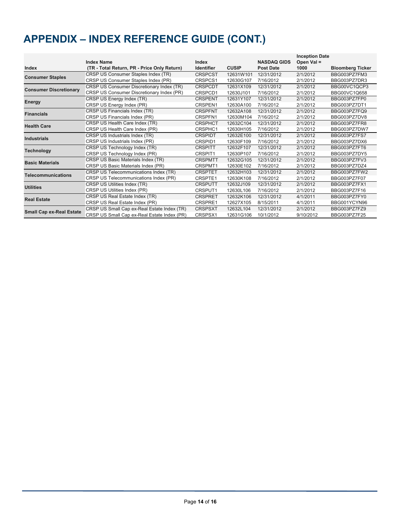## **APPENDIX – INDEX REFERENCE GUIDE (CONT.)**

|                                 |                                             |                   |              |                    | <b>Inception Date</b> |                         |
|---------------------------------|---------------------------------------------|-------------------|--------------|--------------------|-----------------------|-------------------------|
|                                 | <b>Index Name</b>                           | Index             |              | <b>NASDAQ GIDS</b> | Open Val =            |                         |
| Index                           | (TR - Total Return, PR - Price Only Return) | <b>Identifier</b> | <b>CUSIP</b> | <b>Post Date</b>   | 1000                  | <b>Bloomberg Ticker</b> |
| <b>Consumer Staples</b>         | CRSP US Consumer Staples Index (TR)         | <b>CRSPCST</b>    | 12631W101    | 12/31/2012         | 2/1/2012              | BBG003PZ7FM3            |
|                                 | CRSP US Consumer Staples Index (PR)         | CRSPCS1           | 12630G107    | 7/16/2012          | 2/1/2012              | BBG003PZ7DR3            |
| <b>Consumer Discretionary</b>   | CRSP US Consumer Discretionary Index (TR)   | <b>CRSPCDT</b>    | 12631X109    | 12/31/2012         | 2/1/2012              | BBG00VC1QCP3            |
|                                 | CRSP US Consumer Discretionary Index (PR)   | CRSPCD1           | 12630J101    | 7/16/2012          | 2/1/2012              | BBG00VC1Q658            |
|                                 | CRSP US Energy Index (TR)                   | <b>CRSPENT</b>    | 12631Y107    | 12/31/2012         | 2/1/2012              | BBG003PZ7FP0            |
| Energy                          | CRSP US Energy Index (PR)                   | CRSPEN1           | 12630A100    | 7/16/2012          | 2/1/2012              | BBG003PZ7DT1            |
| <b>Financials</b>               | CRSP US Financials Index (TR)               | <b>CRSPFNT</b>    | 12632A108    | 12/31/2012         | 2/1/2012              | BBG003PZ7FQ9            |
|                                 | CRSP US Financials Index (PR)               | <b>CRSPFN1</b>    | 12630M104    | 7/16/2012          | 2/1/2012              | BBG003PZ7DV8            |
| <b>Health Care</b>              | CRSP US Health Care Index (TR)              | <b>CRSPHCT</b>    | 12632C104    | 12/31/2012         | 2/1/2012              | BBG003PZ7FR8            |
|                                 | CRSP US Health Care Index (PR)              | CRSPHC1           | 12630H105    | 7/16/2012          | 2/1/2012              | BBG003PZ7DW7            |
| <b>Industrials</b>              | CRSP US Industrials Index (TR)              | <b>CRSPIDT</b>    | 12632E100    | 12/31/2012         | 2/1/2012              | BBG003PZ7FS7            |
|                                 | CRSP US Industrials Index (PR)              | CRSPID1           | 12630F109    | 7/16/2012          | 2/1/2012              | BBG003PZ7DX6            |
| <b>Technology</b>               | CRSP US Technology Index (TR)               | <b>CRSPITT</b>    | 12632F107    | 12/31/2012         | 2/1/2012              | BBG003PZ7FT6            |
|                                 | CRSP US Technology Index (PR)               | CRSPIT1           | 12630P107    | 7/16/2012          | 2/1/2012              | BBG003PZ7DY5            |
| <b>Basic Materials</b>          | CRSP US Basic Materials Index (TR)          | <b>CRSPMTT</b>    | 12632G105    | 12/31/2012         | 2/1/2012              | BBG003PZ7FV3            |
|                                 | CRSP US Basic Materials Index (PR)          | CRSPMT1           | 12630E102    | 7/16/2012          | 2/1/2012              | BBG003PZ7DZ4            |
| <b>Telecommunications</b>       | CRSP US Telecommunications Index (TR)       | <b>CRSPTET</b>    | 12632H103    | 12/31/2012         | 2/1/2012              | BBG003PZ7FW2            |
|                                 | CRSP US Telecommunications Index (PR)       | <b>CRSPTE1</b>    | 12630K108    | 7/16/2012          | 2/1/2012              | BBG003PZ7F07            |
| <b>Utilities</b>                | CRSP US Utilities Index (TR)                | <b>CRSPUTT</b>    | 12632J109    | 12/31/2012         | 2/1/2012              | BBG003PZ7FX1            |
|                                 | CRSP US Utilities Index (PR)                | CRSPUT1           | 12630L106    | 7/16/2012          | 2/1/2012              | BBG003PZ7F16            |
| <b>Real Estate</b>              | CRSP US Real Estate Index (TR)              | <b>CRSPRET</b>    | 12632K106    | 12/31/2012         | 4/1/2011              | BBG003PZ7FY0            |
|                                 | CRSP US Real Estate Index (PR)              | CRSPRE1           | 12627X105    | 8/15/2011          | 4/1/2011              | BBG001YCYN96            |
| <b>Small Cap ex-Real Estate</b> | CRSP US Small Cap ex-Real Estate Index (TR) | <b>CRSPSXT</b>    | 12632L104    | 12/31/2012         | 2/1/2012              | BBG003PZ7FZ9            |
|                                 | CRSP US Small Cap ex-Real Estate Index (PR) | CRSPSX1           | 12631G106    | 10/1/2012          | 9/10/2012             | BBG003PZ7F25            |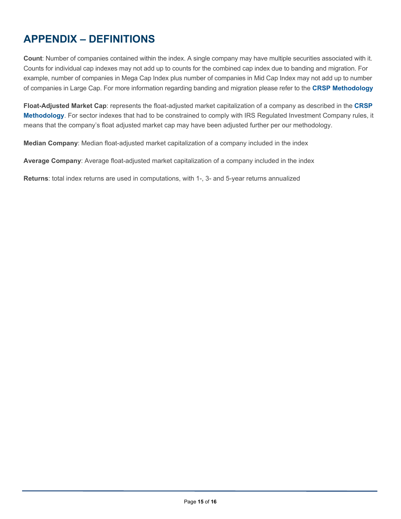## **APPENDIX – DEFINITIONS**

<u> 1980 - Johann Barn, amerikansk politiker (d. 1980)</u>

**Count**: Number of companies contained within the index. A single company may have multiple securities associated with it. Counts for individual cap indexes may not add up to counts for the combined cap index due to banding and migration. For example, number of companies in Mega Cap Index plus number of companies in Mid Cap Index may not add up to number of companies in Large Cap. For more information regarding banding and migration please refer to the **CRSP Methodology**

**Float-Adjusted Market Cap**: represents the float-adjusted market capitalization of a company as described in the **CRSP Methodology**. For sector indexes that had to be constrained to comply with IRS Regulated Investment Company rules, it means that the company's float adjusted market cap may have been adjusted further per our methodology.

**Median Company**: Median float-adjusted market capitalization of a company included in the index

**Average Company**: Average float-adjusted market capitalization of a company included in the index

**Returns**: total index returns are used in computations, with 1-, 3- and 5-year returns annualized